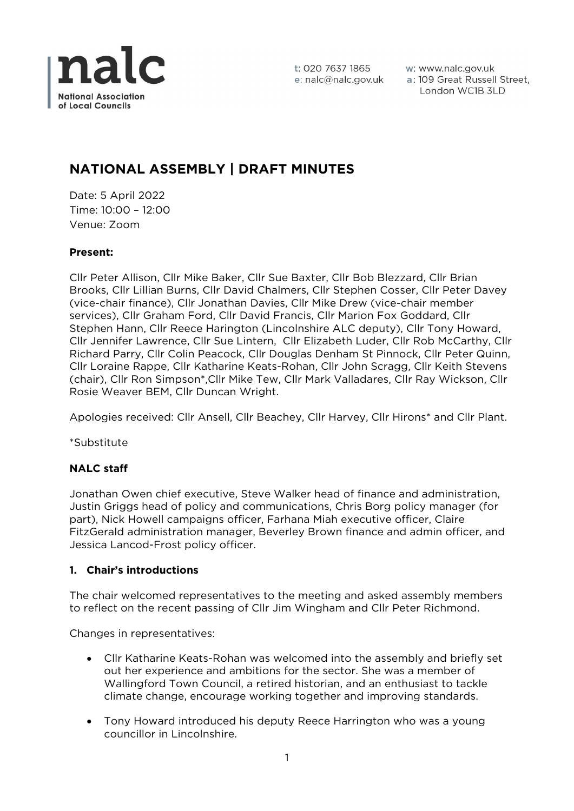

w: www.nalc.gov.uk a: 109 Great Russell Street, London WC1B 3LD

# **NATIONAL ASSEMBLY | DRAFT MINUTES**

Date: 5 April 2022 Time: 10:00 – 12:00 Venue: Zoom

# **Present:**

Cllr Peter Allison, Cllr Mike Baker, Cllr Sue Baxter, Cllr Bob Blezzard, Cllr Brian Brooks, Cllr Lillian Burns, Cllr David Chalmers, Cllr Stephen Cosser, Cllr Peter Davey (vice-chair finance), Cllr Jonathan Davies, Cllr Mike Drew (vice-chair member services), Cllr Graham Ford, Cllr David Francis, Cllr Marion Fox Goddard, Cllr Stephen Hann, Cllr Reece Harington (Lincolnshire ALC deputy), Cllr Tony Howard, Cllr Jennifer Lawrence, Cllr Sue Lintern, Cllr Elizabeth Luder, Cllr Rob McCarthy, Cllr Richard Parry, Cllr Colin Peacock, Cllr Douglas Denham St Pinnock, Cllr Peter Quinn, Cllr Loraine Rappe, Cllr Katharine Keats-Rohan, Cllr John Scragg, Cllr Keith Stevens (chair), Cllr Ron Simpson\*,Cllr Mike Tew, Cllr Mark Valladares, Cllr Ray Wickson, Cllr Rosie Weaver BEM, Cllr Duncan Wright.

Apologies received: Cllr Ansell, Cllr Beachey, Cllr Harvey, Cllr Hirons\* and Cllr Plant.

\*Substitute

# **NALC staff**

Jonathan Owen chief executive, Steve Walker head of finance and administration, Justin Griggs head of policy and communications, Chris Borg policy manager (for part), Nick Howell campaigns officer, Farhana Miah executive officer, Claire FitzGerald administration manager, Beverley Brown finance and admin officer, and Jessica Lancod-Frost policy officer.

# **1. Chair's introductions**

The chair welcomed representatives to the meeting and asked assembly members to reflect on the recent passing of Cllr Jim Wingham and Cllr Peter Richmond.

Changes in representatives:

- Cllr Katharine Keats-Rohan was welcomed into the assembly and briefly set out her experience and ambitions for the sector. She was a member of Wallingford Town Council, a retired historian, and an enthusiast to tackle climate change, encourage working together and improving standards.
- Tony Howard introduced his deputy Reece Harrington who was a young councillor in Lincolnshire.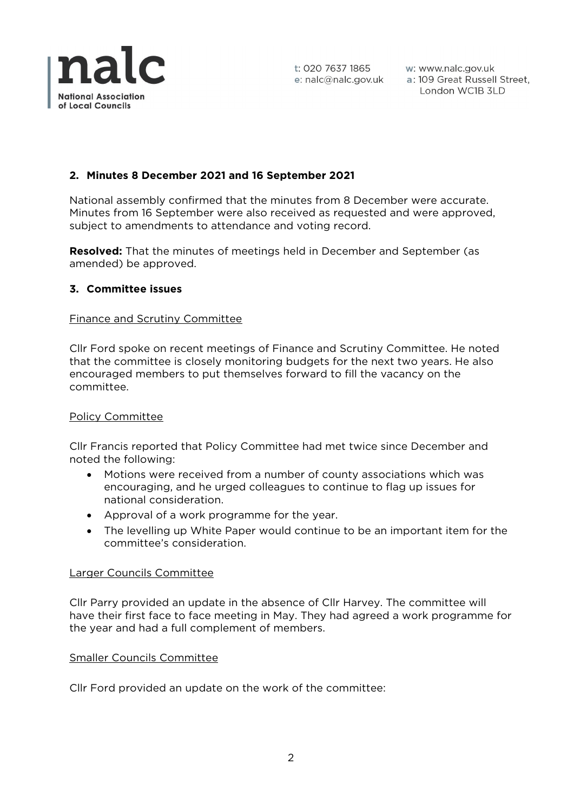

w: www.nalc.gov.uk a: 109 Great Russell Street, London WC1B 3LD

# **2. Minutes 8 December 2021 and 16 September 2021**

National assembly confirmed that the minutes from 8 December were accurate. Minutes from 16 September were also received as requested and were approved, subject to amendments to attendance and voting record.

**Resolved:** That the minutes of meetings held in December and September (as amended) be approved.

## **3. Committee issues**

## Finance and Scrutiny Committee

Cllr Ford spoke on recent meetings of Finance and Scrutiny Committee. He noted that the committee is closely monitoring budgets for the next two years. He also encouraged members to put themselves forward to fill the vacancy on the committee.

## Policy Committee

Cllr Francis reported that Policy Committee had met twice since December and noted the following:

- Motions were received from a number of county associations which was encouraging, and he urged colleagues to continue to flag up issues for national consideration.
- Approval of a work programme for the year.
- The levelling up White Paper would continue to be an important item for the committee's consideration.

#### Larger Councils Committee

Cllr Parry provided an update in the absence of Cllr Harvey. The committee will have their first face to face meeting in May. They had agreed a work programme for the year and had a full complement of members.

## Smaller Councils Committee

Cllr Ford provided an update on the work of the committee: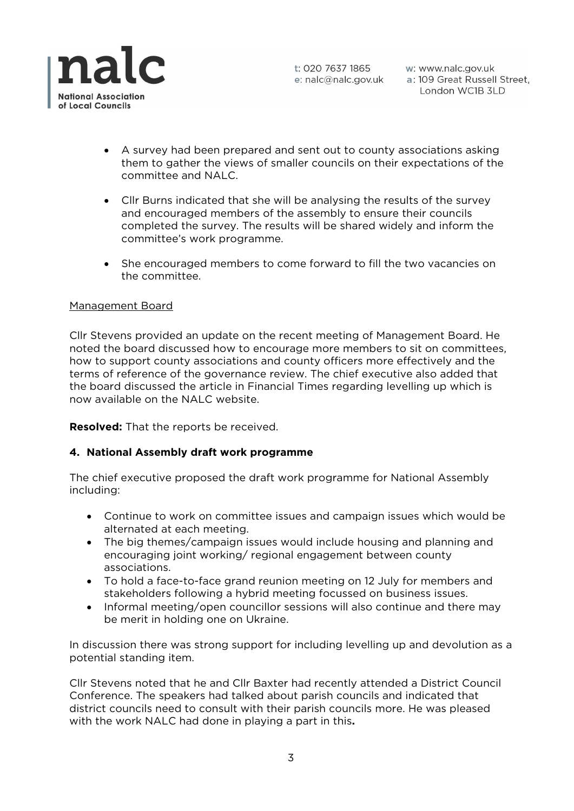

w: www.nalc.gov.uk a: 109 Great Russell Street, London WC1B 3LD

- A survey had been prepared and sent out to county associations asking them to gather the views of smaller councils on their expectations of the committee and NALC.
- Cllr Burns indicated that she will be analysing the results of the survey and encouraged members of the assembly to ensure their councils completed the survey. The results will be shared widely and inform the committee's work programme.
- She encouraged members to come forward to fill the two vacancies on the committee.

## Management Board

Cllr Stevens provided an update on the recent meeting of Management Board. He noted the board discussed how to encourage more members to sit on committees, how to support county associations and county officers more effectively and the terms of reference of the governance review. The chief executive also added that the board discussed the article in Financial Times regarding levelling up which is now available on the NALC website.

**Resolved:** That the reports be received.

# **4. National Assembly draft work programme**

The chief executive proposed the draft work programme for National Assembly including:

- Continue to work on committee issues and campaign issues which would be alternated at each meeting.
- The big themes/campaign issues would include housing and planning and encouraging joint working/ regional engagement between county associations.
- To hold a face-to-face grand reunion meeting on 12 July for members and stakeholders following a hybrid meeting focussed on business issues.
- Informal meeting/open councillor sessions will also continue and there may be merit in holding one on Ukraine.

In discussion there was strong support for including levelling up and devolution as a potential standing item.

Cllr Stevens noted that he and Cllr Baxter had recently attended a District Council Conference. The speakers had talked about parish councils and indicated that district councils need to consult with their parish councils more. He was pleased with the work NALC had done in playing a part in this**.**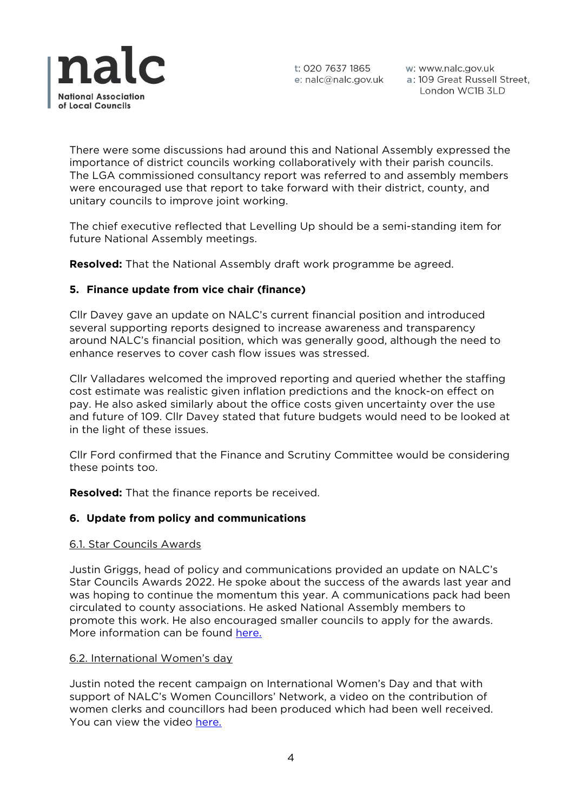

w: www.nalc.gov.uk a: 109 Great Russell Street, London WC1B 3LD

There were some discussions had around this and National Assembly expressed the importance of district councils working collaboratively with their parish councils. The LGA commissioned consultancy report was referred to and assembly members were encouraged use that report to take forward with their district, county, and unitary councils to improve joint working.

The chief executive reflected that Levelling Up should be a semi-standing item for future National Assembly meetings.

**Resolved:** That the National Assembly draft work programme be agreed.

# **5. Finance update from vice chair (finance)**

Cllr Davey gave an update on NALC's current financial position and introduced several supporting reports designed to increase awareness and transparency around NALC's financial position, which was generally good, although the need to enhance reserves to cover cash flow issues was stressed.

Cllr Valladares welcomed the improved reporting and queried whether the staffing cost estimate was realistic given inflation predictions and the knock-on effect on pay. He also asked similarly about the office costs given uncertainty over the use and future of 109. Cllr Davey stated that future budgets would need to be looked at in the light of these issues.

Cllr Ford confirmed that the Finance and Scrutiny Committee would be considering these points too.

**Resolved:** That the finance reports be received.

## **6. Update from policy and communications**

## 6.1. Star Councils Awards

Justin Griggs, head of policy and communications provided an update on NALC's Star Councils Awards 2022. He spoke about the success of the awards last year and was hoping to continue the momentum this year. A communications pack had been circulated to county associations. He asked National Assembly members to promote this work. He also encouraged smaller councils to apply for the awards. More information can be found [here.](https://www.nalc.gov.uk/our-work/star-council-awards)

## 6.2. International Women's day

Justin noted the recent campaign on International Women's Day and that with support of NALC's Women Councillors' Network, a video on the contribution of women clerks and councillors had been produced which had been well received. You can view the video [here.](https://twitter.com/NALC/status/1501168293670965248?s=20&t=wKhgMHn5WttB5mpUsbcW3A)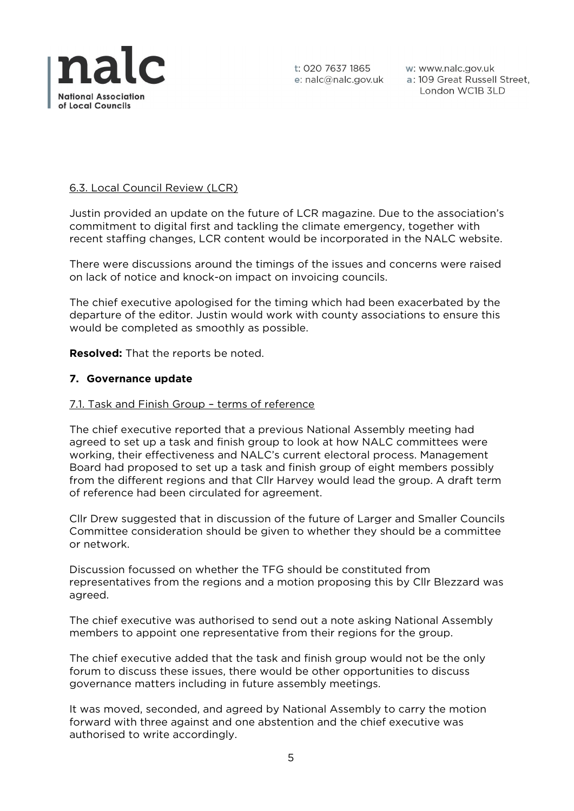

w: www.nalc.gov.uk a: 109 Great Russell Street, London WC1B 3LD

# 6.3. Local Council Review (LCR)

Justin provided an update on the future of LCR magazine. Due to the association's commitment to digital first and tackling the climate emergency, together with recent staffing changes, LCR content would be incorporated in the NALC website.

There were discussions around the timings of the issues and concerns were raised on lack of notice and knock-on impact on invoicing councils.

The chief executive apologised for the timing which had been exacerbated by the departure of the editor. Justin would work with county associations to ensure this would be completed as smoothly as possible.

**Resolved:** That the reports be noted.

## **7. Governance update**

#### 7.1. Task and Finish Group – terms of reference

The chief executive reported that a previous National Assembly meeting had agreed to set up a task and finish group to look at how NALC committees were working, their effectiveness and NALC's current electoral process. Management Board had proposed to set up a task and finish group of eight members possibly from the different regions and that Cllr Harvey would lead the group. A draft term of reference had been circulated for agreement.

Cllr Drew suggested that in discussion of the future of Larger and Smaller Councils Committee consideration should be given to whether they should be a committee or network.

Discussion focussed on whether the TFG should be constituted from representatives from the regions and a motion proposing this by Cllr Blezzard was agreed.

The chief executive was authorised to send out a note asking National Assembly members to appoint one representative from their regions for the group.

The chief executive added that the task and finish group would not be the only forum to discuss these issues, there would be other opportunities to discuss governance matters including in future assembly meetings.

It was moved, seconded, and agreed by National Assembly to carry the motion forward with three against and one abstention and the chief executive was authorised to write accordingly.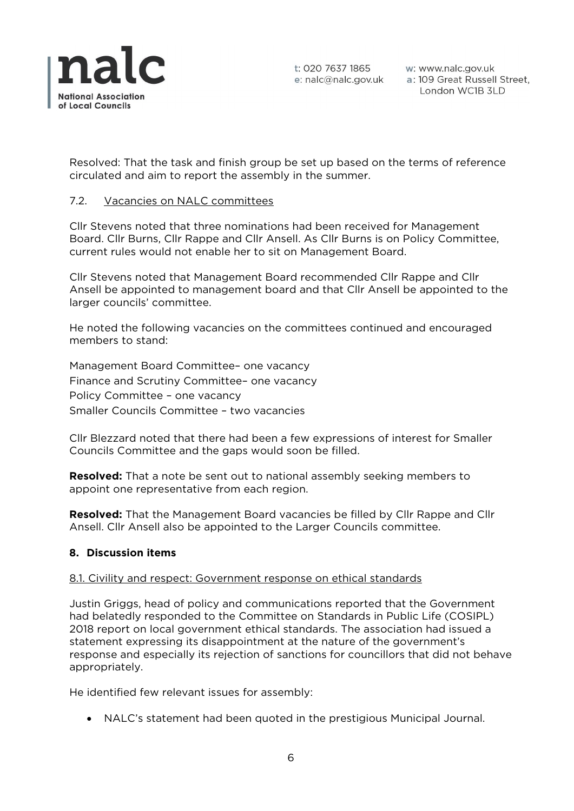

w: www.nalc.gov.uk a: 109 Great Russell Street, London WC1B 3LD

Resolved: That the task and finish group be set up based on the terms of reference circulated and aim to report the assembly in the summer.

## 7.2. Vacancies on NALC committees

Cllr Stevens noted that three nominations had been received for Management Board. Cllr Burns, Cllr Rappe and Cllr Ansell. As Cllr Burns is on Policy Committee, current rules would not enable her to sit on Management Board.

Cllr Stevens noted that Management Board recommended Cllr Rappe and Cllr Ansell be appointed to management board and that Cllr Ansell be appointed to the larger councils' committee.

He noted the following vacancies on the committees continued and encouraged members to stand:

Management Board Committee– one vacancy Finance and Scrutiny Committee– one vacancy Policy Committee – one vacancy Smaller Councils Committee – two vacancies

Cllr Blezzard noted that there had been a few expressions of interest for Smaller Councils Committee and the gaps would soon be filled.

**Resolved:** That a note be sent out to national assembly seeking members to appoint one representative from each region.

**Resolved:** That the Management Board vacancies be filled by Cllr Rappe and Cllr Ansell. Cllr Ansell also be appointed to the Larger Councils committee.

#### **8. Discussion items**

#### 8.1. Civility and respect: Government response on ethical standards

Justin Griggs, head of policy and communications reported that the Government had belatedly responded to the Committee on Standards in Public Life (COSIPL) 2018 report on local government ethical standards. The association had issued a statement expressing its disappointment at the nature of the government's response and especially its rejection of sanctions for councillors that did not behave appropriately.

He identified few relevant issues for assembly:

• NALC's statement had been quoted in the prestigious Municipal Journal.